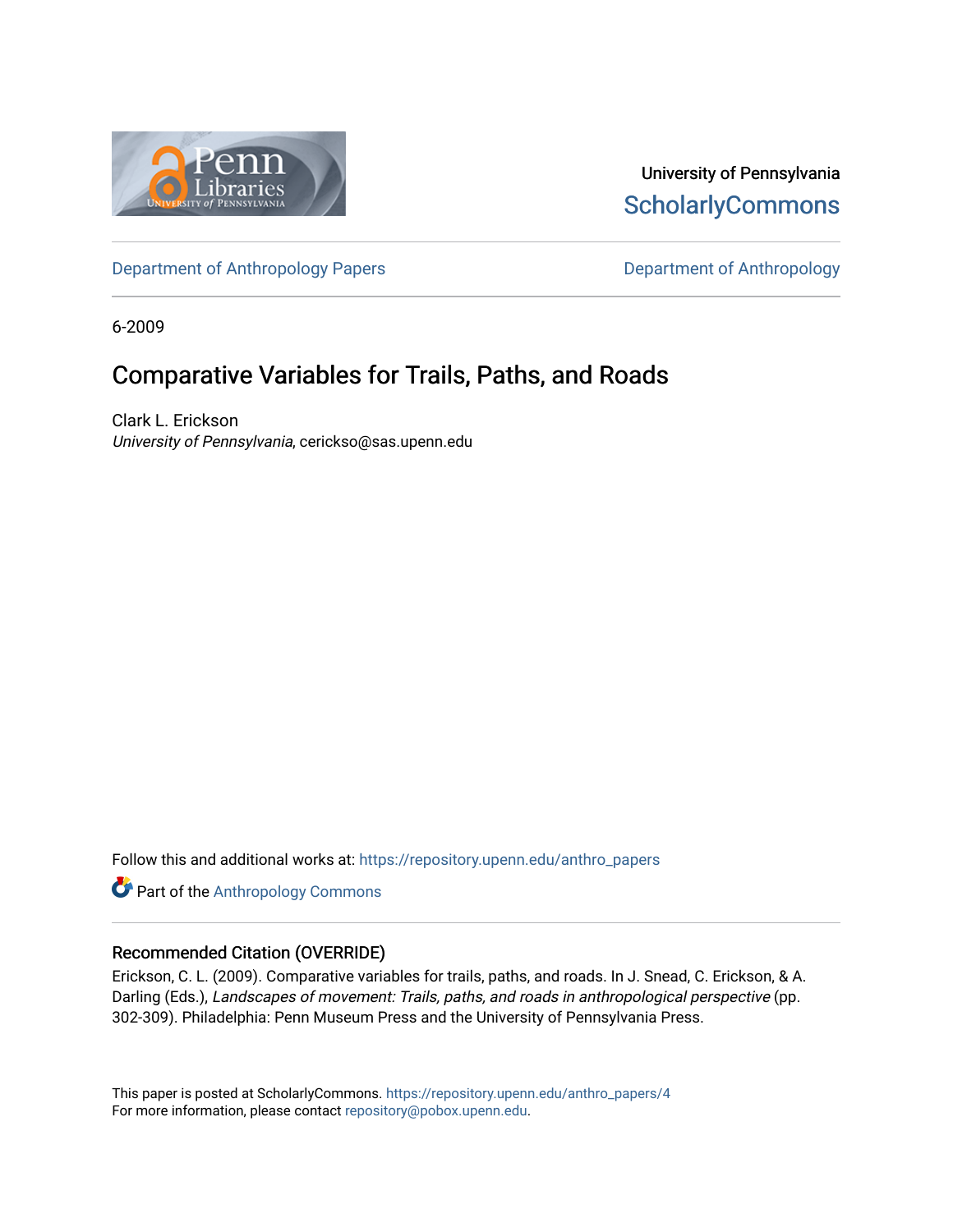

University of Pennsylvania **ScholarlyCommons** 

[Department of Anthropology Papers](https://repository.upenn.edu/anthro_papers) **Department of Anthropology** 

6-2009

# Comparative Variables for Trails, Paths, and Roads

Clark L. Erickson University of Pennsylvania, cerickso@sas.upenn.edu

Follow this and additional works at: [https://repository.upenn.edu/anthro\\_papers](https://repository.upenn.edu/anthro_papers?utm_source=repository.upenn.edu%2Fanthro_papers%2F4&utm_medium=PDF&utm_campaign=PDFCoverPages)

**Part of the [Anthropology Commons](http://network.bepress.com/hgg/discipline/318?utm_source=repository.upenn.edu%2Fanthro_papers%2F4&utm_medium=PDF&utm_campaign=PDFCoverPages)** 

#### Recommended Citation (OVERRIDE)

Erickson, C. L. (2009). Comparative variables for trails, paths, and roads. In J. Snead, C. Erickson, & A. Darling (Eds.), Landscapes of movement: Trails, paths, and roads in anthropological perspective (pp. 302-309). Philadelphia: Penn Museum Press and the University of Pennsylvania Press.

This paper is posted at ScholarlyCommons. [https://repository.upenn.edu/anthro\\_papers/4](https://repository.upenn.edu/anthro_papers/4)  For more information, please contact [repository@pobox.upenn.edu.](mailto:repository@pobox.upenn.edu)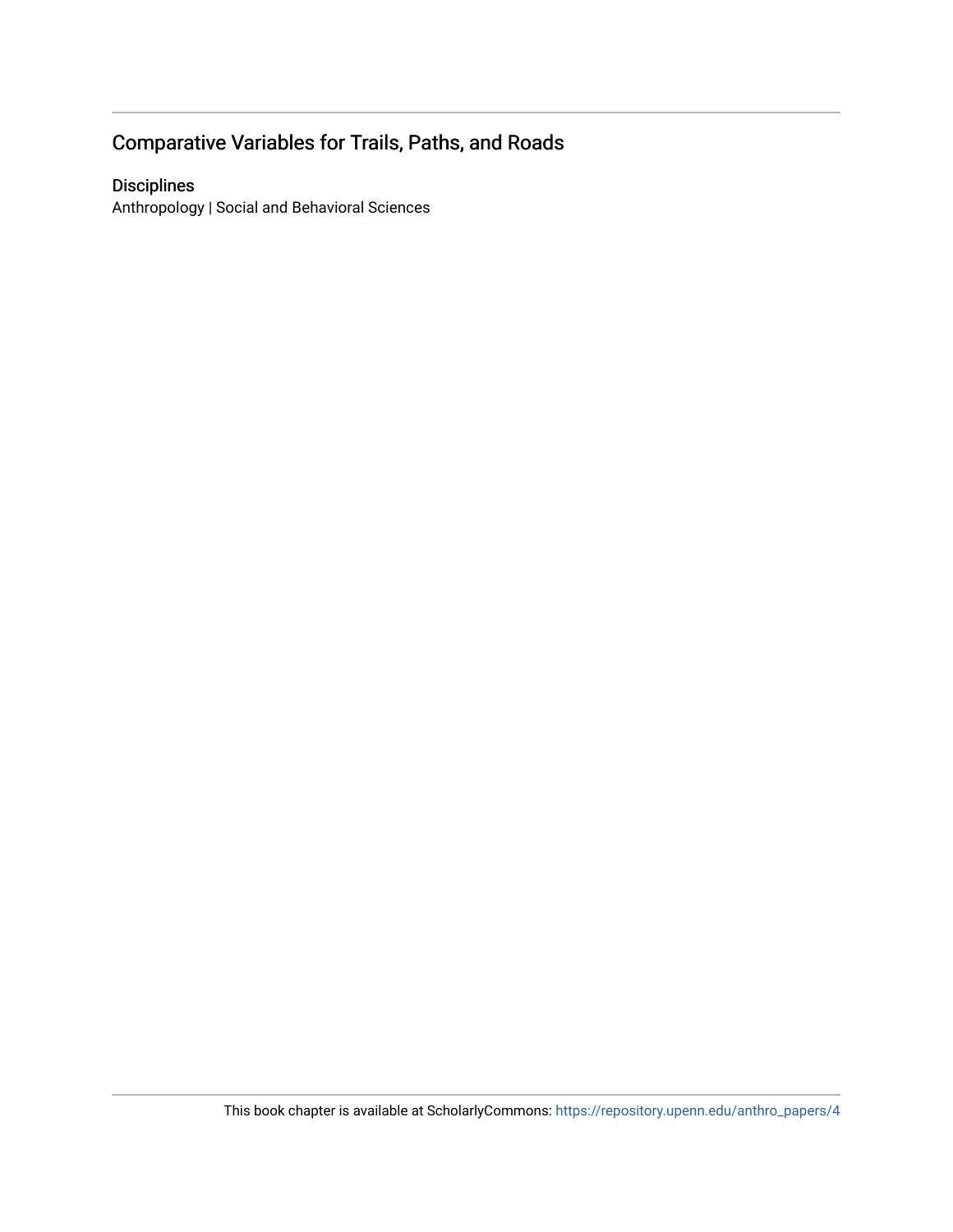# Comparative Variables for Trails, Paths, and Roads

### Disciplines

Anthropology | Social and Behavioral Sciences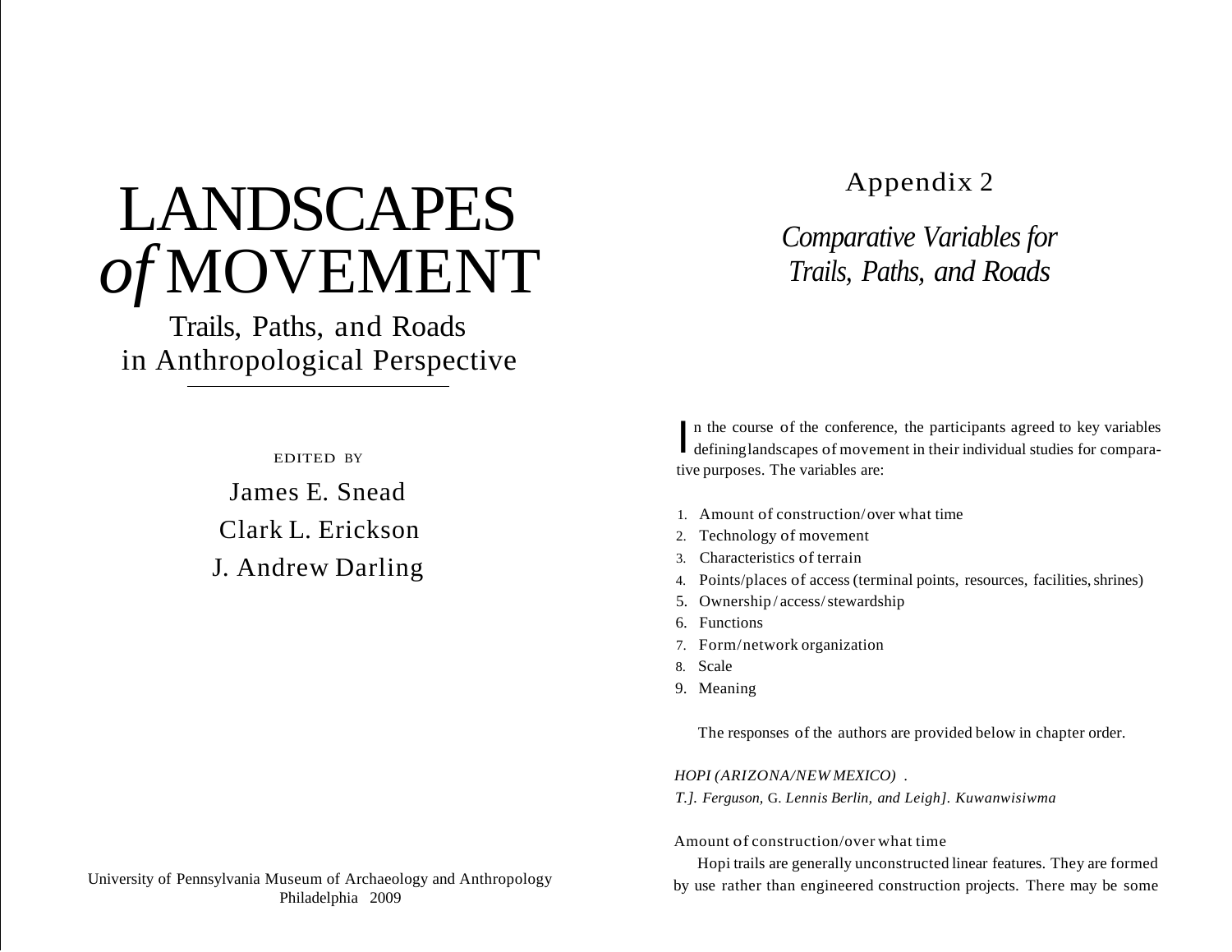# LANDSCAPES *of* MOVEMENT

Trails, Paths, and Roads in Anthropological Perspective

EDITED BY

James E. Snead Clark L. Erickson J. Andrew Darling

#### University of Pennsylvania Museum of Archaeology and Anthropology Philadelphia 2009

# Appendix 2

*Comparative Variables for Trails, Paths, and Roads*

I n the course of the conference, the participants agreed to key variables defininglandscapes of movement in their individual studies for comparative purposes. The variables are:

- 1. Amount of construction/over what time
- 2. Technology of movement
- 3. Characteristics of terrain
- 4. Points/places of access (terminal points, resources, facilities, shrines)
- 5. Ownership / access/stewardship
- 6. Functions
- 7. Form/network organization
- 8. Scale
- 9. Meaning

The responses of the authors are provided below in chapter order.

*HOPI (ARIZONA/NEW MEXICO) .*

*T.]. Ferguson,* G. *Lennis Berlin, and Leigh]. Kuwanwisiwma*

Amount of construction/over what time

Hopi trails are generally unconstructed linear features. They are formed by use rather than engineered construction projects. There may be some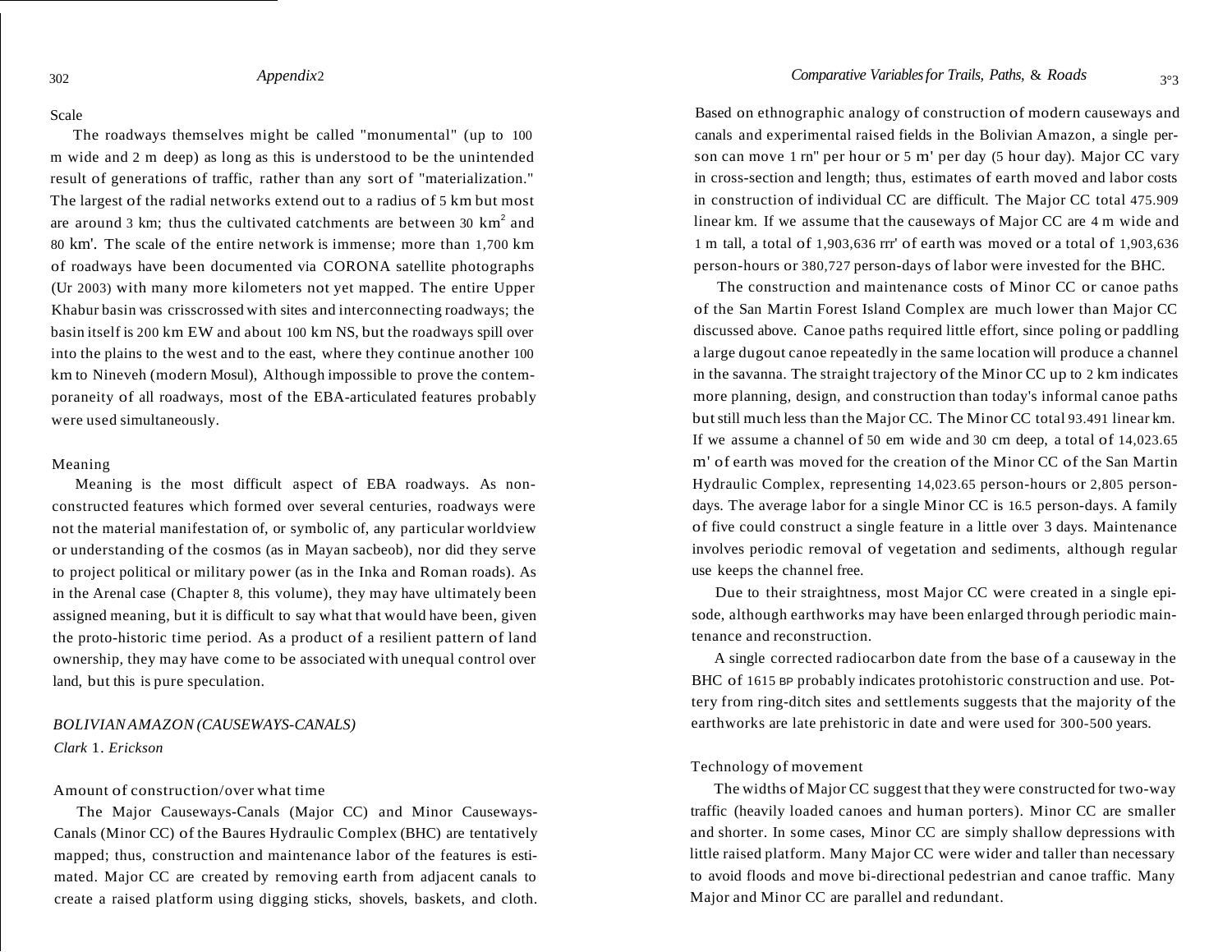#### Scale

The roadways themselves might be called "monumental" (up to 100 m wide and 2 m deep) as long as this is understood to be the unintended result of generations of traffic, rather than any sort of "materialization." The largest of the radial networks extend out to a radius of 5 km but most are around 3 km; thus the cultivated catchments are between 30  $km<sup>2</sup>$  and 80 km'. The scale of the entire network is immense; more than 1,700 km of roadways have been documented via CORONA satellite photographs (Ur 2003) with many more kilometers not yet mapped. The entire Upper Khabur basin was crisscrossed with sites and interconnecting roadways; the basin itself is 200 km EW and about 100 km NS, but the roadways spill over into the plains to the west and to the east, where they continue another 100 km to Nineveh (modern Mosul), Although impossible to prove the contemporaneity of all roadways, most of the EBA-articulated features probably were used simultaneously.

#### Meaning

Meaning is the most difficult aspect of EBA roadways. As nonconstructed features which formed over several centuries, roadways were not the material manifestation of, or symbolic of, any particular worldview or understanding of the cosmos (as in Mayan sacbeob), nor did they serve to project political or military power (as in the Inka and Roman roads). As in the Arenal case (Chapter 8, this volume), they may have ultimately been assigned meaning, but it is difficult to say what that would have been, given the proto-historic time period. As a product of a resilient pattern of land ownership, they may have come to be associated with unequal control over land, but this is pure speculation.

#### *BOLIVIANAMAZON (CAUSEWAYS-CANALS)*

*Clark* 1. *Erickson*

#### Amount of construction/over what time

The Major Causeways-Canals (Major CC) and Minor Causeways-Canals (Minor CC) of the Baures Hydraulic Complex (BHC) are tentatively mapped; thus, construction and maintenance labor of the features is estimated. Major CC are created by removing earth from adjacent canals to create a raised platform using digging sticks, shovels, baskets, and cloth.

Based on ethnographic analogy of construction of modern causeways and canals and experimental raised fields in the Bolivian Amazon, a single person can move 1 rn" per hour or 5 m' per day (5 hour day). Major CC vary in cross-section and length; thus, estimates of earth moved and labor costs in construction of individual CC are difficult. The Major CC total 475.909 linear km. If we assume that the causeways of Major CC are 4 m wide and 1 m tall, a total of 1,903,636 rrr' of earth was moved or a total of 1,903,636 person-hours or 380,727 person-days of labor were invested for the BHC.

The construction and maintenance costs of Minor CC or canoe paths of the San Martin Forest Island Complex are much lower than Major CC discussed above. Canoe paths required little effort, since poling or paddling a large dugout canoe repeatedly in the same location will produce a channel in the savanna. The straight trajectory of the Minor CC up to 2 km indicates more planning, design, and construction than today's informal canoe paths butstill much less than the Major CC. The Minor CC total 93.491 linear km. If we assume a channel of 50 em wide and 30 cm deep, a total of 14,023.65 m' of earth was moved for the creation of the Minor CC of the San Martin Hydraulic Complex, representing 14,023.65 person-hours or 2,805 persondays. The average labor for a single Minor CC is 16.5 person-days. A family of five could construct a single feature in a little over 3 days. Maintenance involves periodic removal of vegetation and sediments, although regular use keeps the channel free.

Due to their straightness, most Major CC were created in a single episode, although earthworks may have been enlarged through periodic maintenance and reconstruction.

A single corrected radiocarbon date from the base of a causeway in the BHC of 1615 BP probably indicates protohistoric construction and use. Pottery from ring-ditch sites and settlements suggests that the majority of the earthworks are late prehistoric in date and were used for 300-500 years.

#### Technology of movement

The widths of Major CC suggest that they were constructed for two-way traffic (heavily loaded canoes and human porters). Minor CC are smaller and shorter. In some cases, Minor CC are simply shallow depressions with little raised platform. Many Major CC were wider and taller than necessary to avoid floods and move bi-directional pedestrian and canoe traffic. Many Major and Minor CC are parallel and redundant.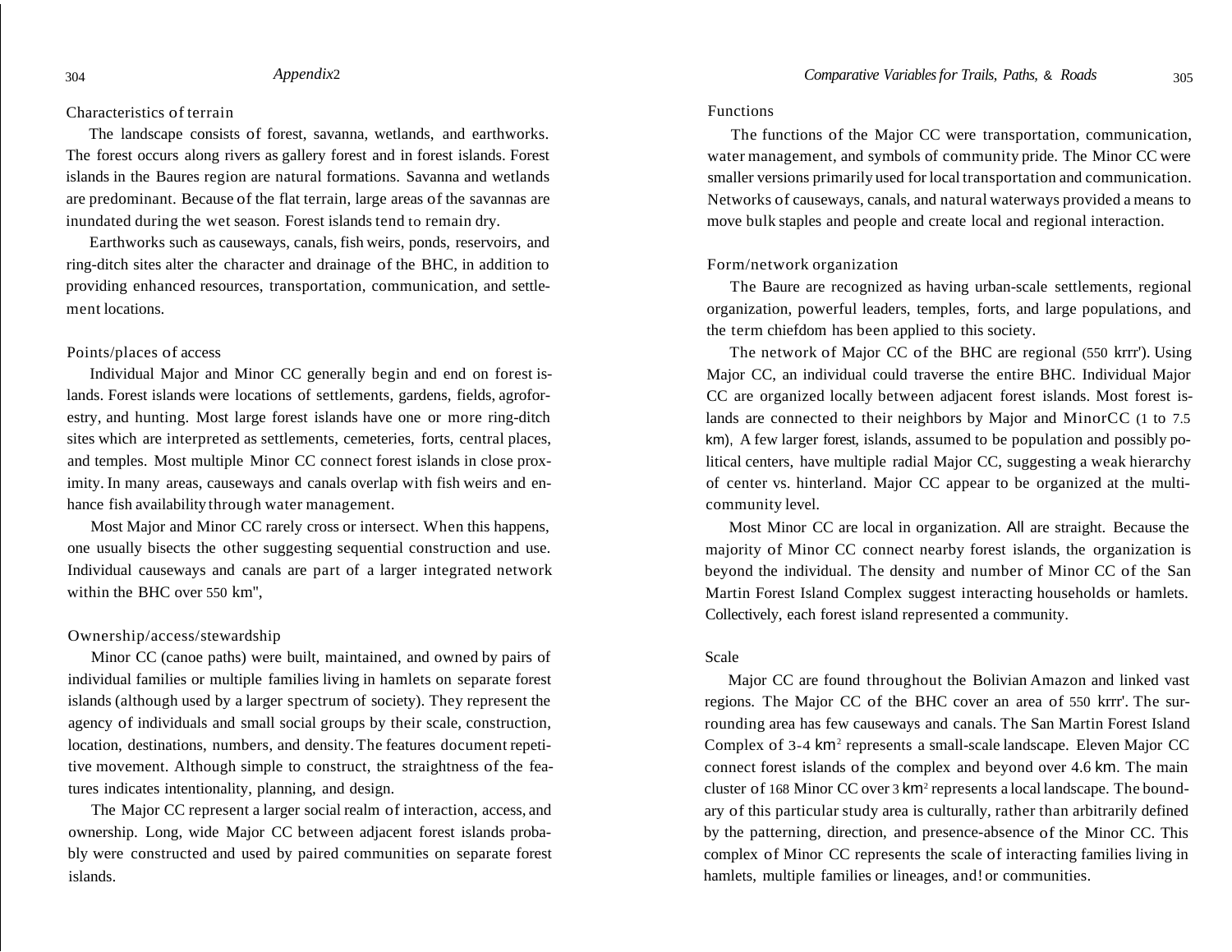#### Characteristics of terrain

The landscape consists of forest, savanna, wetlands, and earthworks. The forest occurs along rivers as gallery forest and in forest islands. Forest islands in the Baures region are natural formations. Savanna and wetlands are predominant. Because of the flat terrain, large areas of the savannas are inundated during the wet season. Forest islands tend to remain dry.

Earthworks such as causeways, canals, fish weirs, ponds, reservoirs, and ring-ditch sites alter the character and drainage of the BHC, in addition to providing enhanced resources, transportation, communication, and settlement locations.

#### Points/places of access

Individual Major and Minor CC generally begin and end on forest islands. Forest islands were locations of settlements, gardens, fields, agroforestry, and hunting. Most large forest islands have one or more ring-ditch sites which are interpreted as settlements, cemeteries, forts, central places, and temples. Most multiple Minor CC connect forest islands in close proximity. In many areas, causeways and canals overlap with fish weirs and enhance fish availability through water management.

Most Major and Minor CC rarely cross or intersect. When this happens, one usually bisects the other suggesting sequential construction and use. Individual causeways and canals are part of a larger integrated network within the BHC over 550 km'',

#### Ownership/access/stewardship

Minor CC (canoe paths) were built, maintained, and owned by pairs of individual families or multiple families living in hamlets on separate forest islands (although used by a larger spectrum of society). They represent the agency of individuals and small social groups by their scale, construction, location, destinations, numbers, and density.The features document repetitive movement. Although simple to construct, the straightness of the features indicates intentionality, planning, and design.

The Major CC represent a larger social realm of interaction, access, and ownership. Long, wide Major CC between adjacent forest islands probably were constructed and used by paired communities on separate forest islands.

#### Functions

The functions of the Major CC were transportation, communication, water management, and symbols of community pride. The Minor CC were smaller versions primarily used for local transportation and communication. Networks of causeways, canals, and natural waterways provided a means to move bulk staples and people and create local and regional interaction.

#### Form/network organization

The Baure are recognized as having urban-scale settlements, regional organization, powerful leaders, temples, forts, and large populations, and the term chiefdom has been applied to this society.

The network of Major CC of the BHC are regional (550 krrr'). Using Major CC, an individual could traverse the entire BHC. Individual Major CC are organized locally between adjacent forest islands. Most forest islands are connected to their neighbors by Major and MinorCC (1 to 7.5 km), A few larger forest, islands, assumed to be population and possibly political centers, have multiple radial Major CC, suggesting a weak hierarchy of center vs. hinterland. Major CC appear to be organized at the multicommunity level.

Most Minor CC are local in organization. All are straight. Because the majority of Minor CC connect nearby forest islands, the organization is beyond the individual. The density and number of Minor CC of the San Martin Forest Island Complex suggest interacting households or hamlets. Collectively, each forest island represented a community.

#### Scale

Major CC are found throughout the Bolivian Amazon and linked vast regions. The Major CC of the BHC cover an area of 550 krrr'. The surrounding area has few causeways and canals. The San Martin Forest Island Complex of 3-4 km<sup>2</sup> represents a small-scale landscape. Eleven Major CC connect forest islands of the complex and beyond over 4.6 km. The main cluster of 168 Minor CC over 3 km<sup>2</sup> represents a local landscape. The boundary of this particular study area is culturally, rather than arbitrarily defined by the patterning, direction, and presence-absence of the Minor CC. This complex of Minor CC represents the scale of interacting families living in hamlets, multiple families or lineages, and! or communities.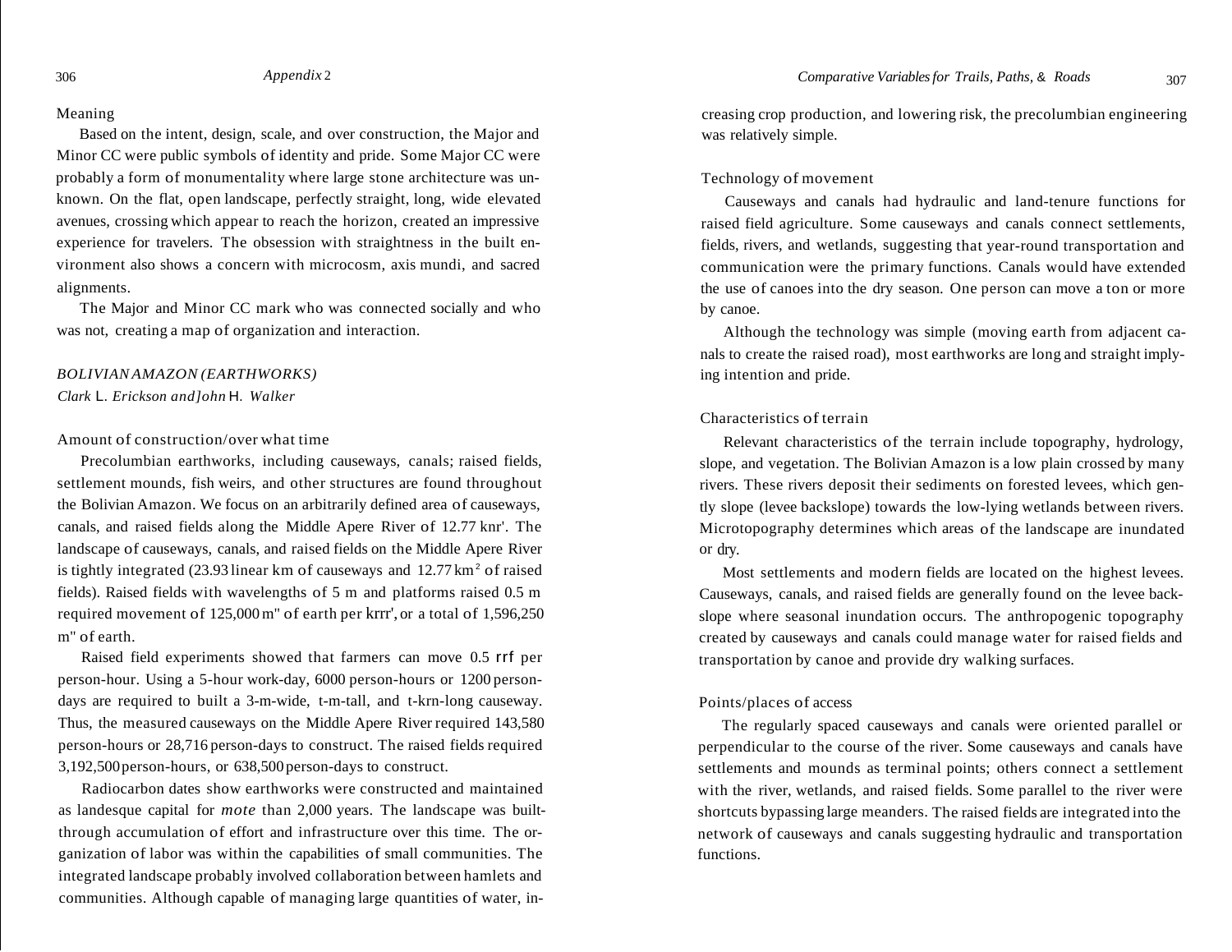#### Meaning

Based on the intent, design, scale, and over construction, the Major and Minor CC were public symbols of identity and pride. Some Major CC were probably a form of monumentality where large stone architecture was unknown. On the flat, open landscape, perfectly straight, long, wide elevated avenues, crossing which appear to reach the horizon, created an impressive experience for travelers. The obsession with straightness in the built environment also shows a concern with microcosm, axis mundi, and sacred alignments.

The Major and Minor CC mark who was connected socially and who was not, creating a map of organization and interaction.

#### *BOLIVIANAMAZON (EARTHWORKS) Clark* L. *Erickson and]ohn* H. *Walker*

#### Amount of construction/over what time

Precolumbian earthworks, including causeways, canals; raised fields, settlement mounds, fish weirs, and other structures are found throughout the Bolivian Amazon. We focus on an arbitrarily defined area of causeways, canals, and raised fields along the Middle Apere River of 12.77 knr'. The landscape of causeways, canals, and raised fields on the Middle Apere River is tightly integrated  $(23.93)$  linear km of causeways and  $12.77$  km<sup>2</sup> of raised fields). Raised fields with wavelengths of 5 m and platforms raised 0.5 m required movement of 125,000 m" of earth per krrr', or a total of 1,596,250 m" of earth.

Raised field experiments showed that farmers can move 0.5 rrf per person-hour. Using a 5-hour work-day, 6000 person-hours or 1200 persondays are required to built a 3-m-wide, t-m-tall, and t-krn-long causeway. Thus, the measured causeways on the Middle Apere River required 143,580 person-hours or 28,716 person-days to construct. The raised fields required 3,192,500person-hours, or 638,500 person-days to construct.

Radiocarbon dates show earthworks were constructed and maintained as landesque capital for *mote* than 2,000 years. The landscape was builtthrough accumulation of effort and infrastructure over this time. The organization of labor was within the capabilities of small communities. The integrated landscape probably involved collaboration between hamlets and communities. Although capable of managing large quantities of water, increasing crop production, and lowering risk, the precolumbian engineering was relatively simple.

#### Technology of movement

Causeways and canals had hydraulic and land-tenure functions for raised field agriculture. Some causeways and canals connect settlements, fields, rivers, and wetlands, suggesting that year-round transportation and communication were the primary functions. Canals would have extended the use of canoes into the dry season. One person can move a ton or more by canoe.

Although the technology was simple (moving earth from adjacent canals to create the raised road), most earthworks are long and straight implying intention and pride.

#### Characteristics of terrain

Relevant characteristics of the terrain include topography, hydrology, slope, and vegetation. The Bolivian Amazon is a low plain crossed by many rivers. These rivers deposit their sediments on forested levees, which gently slope (levee backslope) towards the low-lying wetlands between rivers. Microtopography determines which areas of the landscape are inundated or dry.

Most settlements and modern fields are located on the highest levees. Causeways, canals, and raised fields are generally found on the levee backslope where seasonal inundation occurs. The anthropogenic topography created by causeways and canals could manage water for raised fields and transportation by canoe and provide dry walking surfaces.

#### Points/places of access

The regularly spaced causeways and canals were oriented parallel or perpendicular to the course of the river. Some causeways and canals have settlements and mounds as terminal points; others connect a settlement with the river, wetlands, and raised fields. Some parallel to the river were shortcuts bypassing large meanders. The raised fields are integrated into the network of causeways and canals suggesting hydraulic and transportation functions.